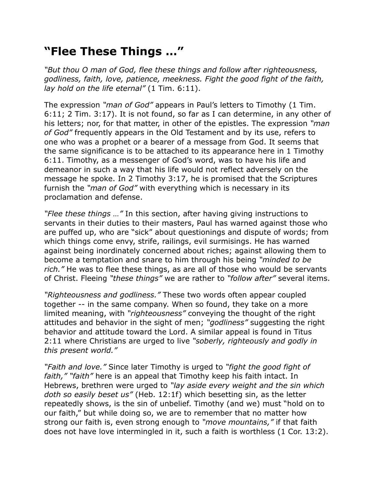## **"Flee These Things …"**

*"But thou O man of God, flee these things and follow after righteousness, godliness, faith, love, patience, meekness. Fight the good fight of the faith, lay hold on the life eternal"* (1 Tim. 6:11).

The expression *"man of God"* appears in Paul's letters to Timothy (1 Tim. 6:11; 2 Tim. 3:17). It is not found, so far as I can determine, in any other of his letters; nor, for that matter, in other of the epistles. The expression *"man of God"* frequently appears in the Old Testament and by its use, refers to one who was a prophet or a bearer of a message from God. It seems that the same significance is to be attached to its appearance here in 1 Timothy 6:11. Timothy, as a messenger of God's word, was to have his life and demeanor in such a way that his life would not reflect adversely on the message he spoke. In 2 Timothy 3:17, he is promised that the Scriptures furnish the *"man of God"* with everything which is necessary in its proclamation and defense.

*"Flee these things …"* In this section, after having giving instructions to servants in their duties to their masters, Paul has warned against those who are puffed up, who are "sick" about questionings and dispute of words; from which things come envy, strife, railings, evil surmisings. He has warned against being inordinately concerned about riches; against allowing them to become a temptation and snare to him through his being *"minded to be rich."* He was to flee these things, as are all of those who would be servants of Christ. Fleeing *"these things"* we are rather to *"follow after"* several items.

*"Righteousness and godliness."* These two words often appear coupled together -- in the same company. When so found, they take on a more limited meaning, with *"righteousness"* conveying the thought of the right attitudes and behavior in the sight of men; *"godliness"* suggesting the right behavior and attitude toward the Lord. A similar appeal is found in Titus 2:11 where Christians are urged to live *"soberly, righteously and godly in this present world."*

*"Faith and love."* Since later Timothy is urged to *"fight the good fight of faith," "faith"* here is an appeal that Timothy keep his faith intact. In Hebrews, brethren were urged to *"lay aside every weight and the sin which doth so easily beset us"* (Heb. 12:1f) which besetting sin, as the letter repeatedly shows, is the sin of unbelief. Timothy (and we) must "hold on to our faith," but while doing so, we are to remember that no matter how strong our faith is, even strong enough to *"move mountains,"* if that faith does not have love intermingled in it, such a faith is worthless (1 Cor. 13:2).